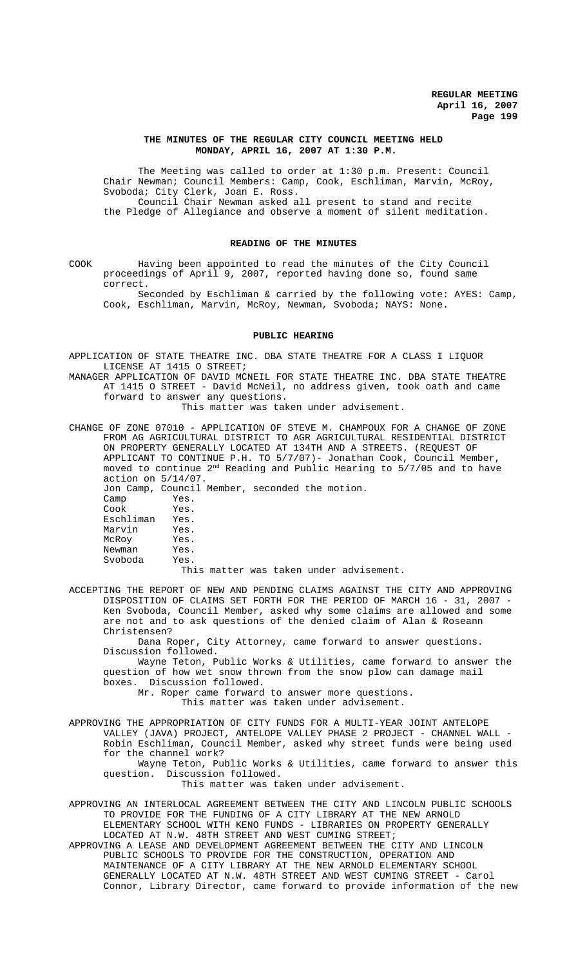## **THE MINUTES OF THE REGULAR CITY COUNCIL MEETING HELD MONDAY, APRIL 16, 2007 AT 1:30 P.M.**

The Meeting was called to order at 1:30 p.m. Present: Council Chair Newman; Council Members: Camp, Cook, Eschliman, Marvin, McRoy, Svoboda; City Clerk, Joan E. Ross. Council Chair Newman asked all present to stand and recite the Pledge of Allegiance and observe a moment of silent meditation.

## **READING OF THE MINUTES**

COOK Having been appointed to read the minutes of the City Council proceedings of April 9, 2007, reported having done so, found same correct.

Seconded by Eschliman & carried by the following vote: AYES: Camp, Cook, Eschliman, Marvin, McRoy, Newman, Svoboda; NAYS: None.

#### **PUBLIC HEARING**

APPLICATION OF STATE THEATRE INC. DBA STATE THEATRE FOR A CLASS I LIQUOR LICENSE AT 1415 O STREET;

MANAGER APPLICATION OF DAVID MCNEIL FOR STATE THEATRE INC. DBA STATE THEATRE AT 1415 O STREET - David McNeil, no address given, took oath and came forward to answer any questions.

This matter was taken under advisement.

CHANGE OF ZONE 07010 - APPLICATION OF STEVE M. CHAMPOUX FOR A CHANGE OF ZONE FROM AG AGRICULTURAL DISTRICT TO AGR AGRICULTURAL RESIDENTIAL DISTRICT ON PROPERTY GENERALLY LOCATED AT 134TH AND A STREETS. (REQUEST OF APPLICANT TO CONTINUE P.H. TO 5/7/07)- Jonathan Cook, Council Member, moved to continue 2<sup>nd</sup> Reading and Public Hearing to 5/7/05 and to have action on 5/14/07.

Jon Camp, Council Member, seconded the motion. Yes.<br>Yes. Cook Yes.<br>Eschliman Yes. Eschliman Marvin Yes. McRoy Yes. Newman Yes.<br>Svoboda Yes. Svoboda This matter was taken under advisement.

ACCEPTING THE REPORT OF NEW AND PENDING CLAIMS AGAINST THE CITY AND APPROVING DISPOSITION OF CLAIMS SET FORTH FOR THE PERIOD OF MARCH 16 - 31, 2007 - Ken Svoboda, Council Member, asked why some claims are allowed and some are not and to ask questions of the denied claim of Alan & Roseann Christensen?

Dana Roper, City Attorney, came forward to answer questions. Discussion followed.

Wayne Teton, Public Works & Utilities, came forward to answer the question of how wet snow thrown from the snow plow can damage mail boxes. Discussion followed.

Mr. Roper came forward to answer more questions.

This matter was taken under advisement.

APPROVING THE APPROPRIATION OF CITY FUNDS FOR A MULTI-YEAR JOINT ANTELOPE VALLEY (JAVA) PROJECT, ANTELOPE VALLEY PHASE 2 PROJECT - CHANNEL WALL - Robin Eschliman, Council Member, asked why street funds were being used for the channel work?

Wayne Teton, Public Works & Utilities, came forward to answer this question. Discussion followed.

This matter was taken under advisement.

APPROVING AN INTERLOCAL AGREEMENT BETWEEN THE CITY AND LINCOLN PUBLIC SCHOOLS TO PROVIDE FOR THE FUNDING OF A CITY LIBRARY AT THE NEW ARNOLD ELEMENTARY SCHOOL WITH KENO FUNDS - LIBRARIES ON PROPERTY GENERALLY LOCATED AT N.W. 48TH STREET AND WEST CUMING STREET;

APPROVING A LEASE AND DEVELOPMENT AGREEMENT BETWEEN THE CITY AND LINCOLN PUBLIC SCHOOLS TO PROVIDE FOR THE CONSTRUCTION, OPERATION AND MAINTENANCE OF A CITY LIBRARY AT THE NEW ARNOLD ELEMENTARY SCHOOL GENERALLY LOCATED AT N.W. 48TH STREET AND WEST CUMING STREET - Carol Connor, Library Director, came forward to provide information of the new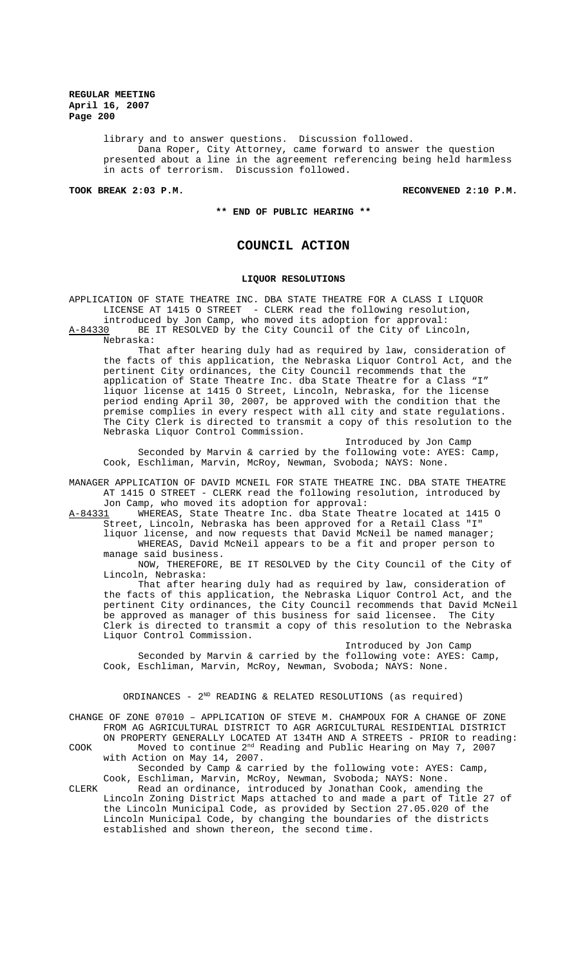> library and to answer questions. Discussion followed. Dana Roper, City Attorney, came forward to answer the question presented about a line in the agreement referencing being held harmless in acts of terrorism. Discussion followed.

**TOOK BREAK 2:03 P.M. RECONVENED 2:10 P.M.**

**\*\* END OF PUBLIC HEARING \*\***

# **COUNCIL ACTION**

## **LIQUOR RESOLUTIONS**

APPLICATION OF STATE THEATRE INC. DBA STATE THEATRE FOR A CLASS I LIQUOR LICENSE AT 1415 O STREET - CLERK read the following resolution, introduced by Jon Camp, who moved its adoption for approval:

A-84330 BE IT RESOLVED by the City Council of the City of Lincoln, Nebraska:

That after hearing duly had as required by law, consideration of the facts of this application, the Nebraska Liquor Control Act, and the pertinent City ordinances, the City Council recommends that the application of State Theatre Inc. dba State Theatre for a Class "I" liquor license at 1415 O Street, Lincoln, Nebraska, for the license period ending April 30, 2007, be approved with the condition that the premise complies in every respect with all city and state regulations. The City Clerk is directed to transmit a copy of this resolution to the Nebraska Liquor Control Commission.

Introduced by Jon Camp Seconded by Marvin & carried by the following vote: AYES: Camp, Cook, Eschliman, Marvin, McRoy, Newman, Svoboda; NAYS: None.

MANAGER APPLICATION OF DAVID MCNEIL FOR STATE THEATRE INC. DBA STATE THEATRE AT 1415 O STREET - CLERK read the following resolution, introduced by Jon Camp, who moved its adoption for approval:

A-84331 WHEREAS, State Theatre Inc. dba State Theatre located at 1415 O Street, Lincoln, Nebraska has been approved for a Retail Class "I" liquor license, and now requests that David McNeil be named manager;

WHEREAS, David McNeil appears to be a fit and proper person to manage said business.

NOW, THEREFORE, BE IT RESOLVED by the City Council of the City of Lincoln, Nebraska:

That after hearing duly had as required by law, consideration of the facts of this application, the Nebraska Liquor Control Act, and the pertinent City ordinances, the City Council recommends that David McNeil be approved as manager of this business for said licensee. The City Clerk is directed to transmit a copy of this resolution to the Nebraska Liquor Control Commission.

Introduced by Jon Camp Seconded by Marvin & carried by the following vote: AYES: Camp, Cook, Eschliman, Marvin, McRoy, Newman, Svoboda; NAYS: None.

ORDINANCES -  $2^{ND}$  READING & RELATED RESOLUTIONS (as required)

CHANGE OF ZONE 07010 – APPLICATION OF STEVE M. CHAMPOUX FOR A CHANGE OF ZONE FROM AG AGRICULTURAL DISTRICT TO AGR AGRICULTURAL RESIDENTIAL DISTRICT ON PROPERTY GENERALLY LOCATED AT 134TH AND A STREETS - PRIOR to reading: COOK Moved to continue 2nd Reading and Public Hearing on May 7, 2007

with Action on May 14, 2007. Seconded by Camp & carried by the following vote: AYES: Camp, Cook, Eschliman, Marvin, McRoy, Newman, Svoboda; NAYS: None.

CLERK Read an ordinance, introduced by Jonathan Cook, amending the Lincoln Zoning District Maps attached to and made a part of Title 27 of the Lincoln Municipal Code, as provided by Section 27.05.020 of the Lincoln Municipal Code, by changing the boundaries of the districts established and shown thereon, the second time.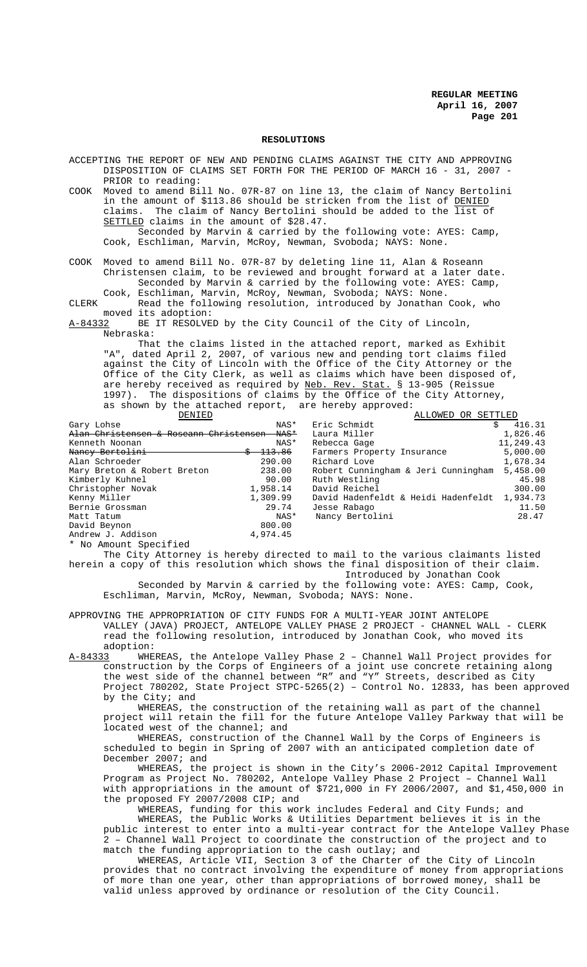#### **RESOLUTIONS**

ACCEPTING THE REPORT OF NEW AND PENDING CLAIMS AGAINST THE CITY AND APPROVING DISPOSITION OF CLAIMS SET FORTH FOR THE PERIOD OF MARCH 16 - 31, 2007 - PRIOR to reading:

COOK Moved to amend Bill No. 07R-87 on line 13, the claim of Nancy Bertolini in the amount of \$113.86 should be stricken from the list of DENIED claims. The claim of Nancy Bertolini should be added to the list of SETTLED claims in the amount of \$28.47.

Seconded by Marvin & carried by the following vote: AYES: Camp, Cook, Eschliman, Marvin, McRoy, Newman, Svoboda; NAYS: None.

COOK Moved to amend Bill No. 07R-87 by deleting line 11, Alan & Roseann Christensen claim, to be reviewed and brought forward at a later date. Seconded by Marvin & carried by the following vote: AYES: Camp, Cook, Eschliman, Marvin, McRoy, Newman, Svoboda; NAYS: None.

CLERK Read the following resolution, introduced by Jonathan Cook, who moved its adoption:<br>A-84332 BE IT RESOLVE

BE IT RESOLVED by the City Council of the City of Lincoln, Nebraska:

That the claims listed in the attached report, marked as Exhibit "A", dated April 2, 2007, of various new and pending tort claims filed against the City of Lincoln with the Office of the City Attorney or the Office of the City Clerk, as well as claims which have been disposed of, are hereby received as required by Neb. Rev. Stat. § 13-905 (Reissue 1997). The dispositions of claims by the Office of the City Attorney, as shown by the attached report, are hereby approved:<br>
REPORTED

| DENIED                                             |                   | ALLOWED OR SETTLED                  |           |
|----------------------------------------------------|-------------------|-------------------------------------|-----------|
| Gary Lohse                                         | NAS*              | Eric Schmidt<br>Ŝ.                  | 416.31    |
| Alan Christensen & Roseann Christensen<br>$-MAS^*$ |                   | Laura Miller                        | 1,826.46  |
| Kenneth Noonan                                     | NAS*              | Rebecca Gage                        | 11,249.43 |
| Nancy Bertolini                                    | <del>113.86</del> | Farmers Property Insurance          | 5,000.00  |
| Alan Schroeder                                     | 290.00            | Richard Love                        | 1,678.34  |
| Mary Breton & Robert Breton                        | 238.00            | Robert Cunningham & Jeri Cunningham | 5,458.00  |
| Kimberly Kuhnel                                    | 90.00             | Ruth Westling                       | 45.98     |
| Christopher Novak                                  | 1,958.14          | David Reichel                       | 300.00    |
| Kenny Miller                                       | 1,309.99          | David Hadenfeldt & Heidi Hadenfeldt | 1,934.73  |
| Bernie Grossman                                    | 29.74             | Jesse Rabago                        | 11.50     |
| Matt Tatum                                         | NAS*              | Nancy Bertolini                     | 28.47     |
| David Beynon                                       | 800.00            |                                     |           |
| Andrew J. Addison                                  | 4.974.45          |                                     |           |
| * No Amount Specified                              |                   |                                     |           |

The City Attorney is hereby directed to mail to the various claimants listed herein a copy of this resolution which shows the final disposition of their claim. Introduced by Jonathan Cook Seconded by Marvin & carried by the following vote: AYES: Camp, Cook,

Eschliman, Marvin, McRoy, Newman, Svoboda; NAYS: None.

APPROVING THE APPROPRIATION OF CITY FUNDS FOR A MULTI-YEAR JOINT ANTELOPE VALLEY (JAVA) PROJECT, ANTELOPE VALLEY PHASE 2 PROJECT - CHANNEL WALL - CLERK read the following resolution, introduced by Jonathan Cook, who moved its adoption:

A-84333 WHEREAS, the Antelope Valley Phase 2 – Channel Wall Project provides for construction by the Corps of Engineers of a joint use concrete retaining along the west side of the channel between "R" and "Y" Streets, described as City Project 780202, State Project STPC-5265(2) – Control No. 12833, has been approved by the City; and

WHEREAS, the construction of the retaining wall as part of the channel project will retain the fill for the future Antelope Valley Parkway that will be located west of the channel; and

WHEREAS, construction of the Channel Wall by the Corps of Engineers is scheduled to begin in Spring of 2007 with an anticipated completion date of December 2007; and

WHEREAS, the project is shown in the City's 2006-2012 Capital Improvement Program as Project No. 780202, Antelope Valley Phase 2 Project – Channel Wall with appropriations in the amount of  $$721,000$  in FY 2006/2007, and \$1,450,000 in the proposed FY 2007/2008 CIP; and

WHEREAS, funding for this work includes Federal and City Funds; and WHEREAS, the Public Works & Utilities Department believes it is in the public interest to enter into a multi-year contract for the Antelope Valley Phase 2 – Channel Wall Project to coordinate the construction of the project and to match the funding appropriation to the cash outlay; and

WHEREAS, Article VII, Section 3 of the Charter of the City of Lincoln provides that no contract involving the expenditure of money from appropriations of more than one year, other than appropriations of borrowed money, shall be valid unless approved by ordinance or resolution of the City Council.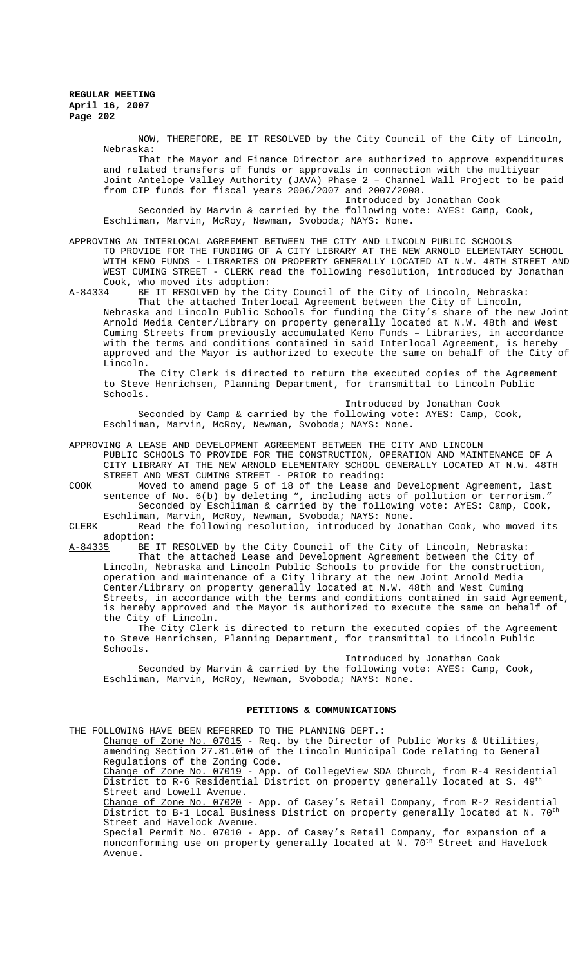NOW, THEREFORE, BE IT RESOLVED by the City Council of the City of Lincoln, Nebraska:

That the Mayor and Finance Director are authorized to approve expenditures and related transfers of funds or approvals in connection with the multiyear Joint Antelope Valley Authority (JAVA) Phase 2 – Channel Wall Project to be paid from CIP funds for fiscal years 2006/2007 and 2007/2008.

Introduced by Jonathan Cook Seconded by Marvin & carried by the following vote: AYES: Camp, Cook, Eschliman, Marvin, McRoy, Newman, Svoboda; NAYS: None.

APPROVING AN INTERLOCAL AGREEMENT BETWEEN THE CITY AND LINCOLN PUBLIC SCHOOLS TO PROVIDE FOR THE FUNDING OF A CITY LIBRARY AT THE NEW ARNOLD ELEMENTARY SCHOOL WITH KENO FUNDS - LIBRARIES ON PROPERTY GENERALLY LOCATED AT N.W. 48TH STREET AND WEST CUMING STREET - CLERK read the following resolution, introduced by Jonathan

Cook, who moved its adoption:<br>A-84334 BE IT RESOLVED by the C

BE IT RESOLVED by the City Council of the City of Lincoln, Nebraska: That the attached Interlocal Agreement between the City of Lincoln, Nebraska and Lincoln Public Schools for funding the City's share of the new Joint Arnold Media Center/Library on property generally located at N.W. 48th and West Cuming Streets from previously accumulated Keno Funds – Libraries, in accordance with the terms and conditions contained in said Interlocal Agreement, is hereby approved and the Mayor is authorized to execute the same on behalf of the City of Lincoln.

The City Clerk is directed to return the executed copies of the Agreement to Steve Henrichsen, Planning Department, for transmittal to Lincoln Public Schools.

Introduced by Jonathan Cook Seconded by Camp & carried by the following vote: AYES: Camp, Cook, Eschliman, Marvin, McRoy, Newman, Svoboda; NAYS: None.

APPROVING A LEASE AND DEVELOPMENT AGREEMENT BETWEEN THE CITY AND LINCOLN

PUBLIC SCHOOLS TO PROVIDE FOR THE CONSTRUCTION, OPERATION AND MAINTENANCE OF A CITY LIBRARY AT THE NEW ARNOLD ELEMENTARY SCHOOL GENERALLY LOCATED AT N.W. 48TH STREET AND WEST CUMING STREET - PRIOR to reading:

COOK Moved to amend page 5 of 18 of the Lease and Development Agreement, last sentence of No. 6(b) by deleting ", including acts of pollution or terrorism." Seconded by Eschliman & carried by the following vote: AYES: Camp, Cook, Eschliman, Marvin, McRoy, Newman, Svoboda; NAYS: None.

CLERK Read the following resolution, introduced by Jonathan Cook, who moved its adoption:<br><u>A-84335</u> BE

BE IT RESOLVED by the City Council of the City of Lincoln, Nebraska:

That the attached Lease and Development Agreement between the City of Lincoln, Nebraska and Lincoln Public Schools to provide for the construction, operation and maintenance of a City library at the new Joint Arnold Media Center/Library on property generally located at N.W. 48th and West Cuming Streets, in accordance with the terms and conditions contained in said Agreement, is hereby approved and the Mayor is authorized to execute the same on behalf of the City of Lincoln.

The City Clerk is directed to return the executed copies of the Agreement to Steve Henrichsen, Planning Department, for transmittal to Lincoln Public Schools.

Introduced by Jonathan Cook

Seconded by Marvin & carried by the following vote: AYES: Camp, Cook, Eschliman, Marvin, McRoy, Newman, Svoboda; NAYS: None.

## **PETITIONS & COMMUNICATIONS**

THE FOLLOWING HAVE BEEN REFERRED TO THE PLANNING DEPT.: Change of Zone No. 07015 - Req. by the Director of Public Works & Utilities, amending Section 27.81.010 of the Lincoln Municipal Code relating to General Regulations of the Zoning Code. Change of Zone No. 07019 - App. of CollegeView SDA Church, from R-4 Residential District to R-6 Residential District on property generally located at S.  $49^{th}$ Street and Lowell Avenue. Change of Zone No. 07020 - App. of Casey's Retail Company, from R-2 Residential District to B-1 Local Business District on property generally located at N. 70<sup>th</sup> Street and Havelock Avenue. Special Permit No. 07010 - App. of Casey's Retail Company, for expansion of a nonconforming use on property generally located at N.  $70^{\rm th}$  Street and Havelock Avenue.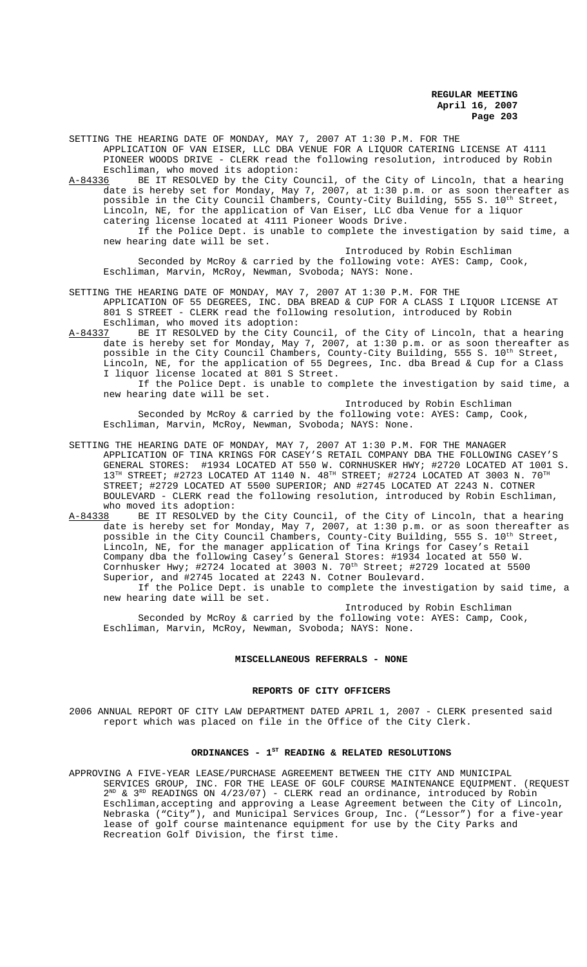SETTING THE HEARING DATE OF MONDAY, MAY 7, 2007 AT 1:30 P.M. FOR THE APPLICATION OF VAN EISER, LLC DBA VENUE FOR A LIQUOR CATERING LICENSE AT 4111 PIONEER WOODS DRIVE - CLERK read the following resolution, introduced by Robin

Eschliman, who moved its adoption:<br>A-84336 BE IT RESOLVED by the City C BE IT RESOLVED by the City Council, of the City of Lincoln, that a hearing date is hereby set for Monday, May 7, 2007, at 1:30 p.m. or as soon thereafter as possible in the City Council Chambers, County-City Building, 555 S.  $10^{\rm th}$  Street, Lincoln, NE, for the application of Van Eiser, LLC dba Venue for a liquor catering license located at 4111 Pioneer Woods Drive. If the Police Dept. is unable to complete the investigation by said time, a new hearing date will be set.

Introduced by Robin Eschliman Seconded by McRoy & carried by the following vote: AYES: Camp, Cook, Eschliman, Marvin, McRoy, Newman, Svoboda; NAYS: None.

SETTING THE HEARING DATE OF MONDAY, MAY 7, 2007 AT 1:30 P.M. FOR THE APPLICATION OF 55 DEGREES, INC. DBA BREAD & CUP FOR A CLASS I LIQUOR LICENSE AT 801 S STREET - CLERK read the following resolution, introduced by Robin Eschliman, who moved its adoption:

A-84337 BE IT RESOLVED by the City Council, of the City of Lincoln, that a hearing date is hereby set for Monday, May 7, 2007, at 1:30 p.m. or as soon thereafter as possible in the City Council Chambers, County-City Building, 555 S.  $10^{\rm th}$  Street, Lincoln, NE, for the application of 55 Degrees, Inc. dba Bread & Cup for a Class I liquor license located at 801 S Street.

If the Police Dept. is unable to complete the investigation by said time, a new hearing date will be set.

Introduced by Robin Eschliman Seconded by McRoy & carried by the following vote: AYES: Camp, Cook, Eschliman, Marvin, McRoy, Newman, Svoboda; NAYS: None.

SETTING THE HEARING DATE OF MONDAY, MAY 7, 2007 AT 1:30 P.M. FOR THE MANAGER APPLICATION OF TINA KRINGS FOR CASEY'S RETAIL COMPANY DBA THE FOLLOWING CASEY'S GENERAL STORES: #1934 LOCATED AT 550 W. CORNHUSKER HWY; #2720 LOCATED AT 1001 S.  $13^{\text{TH}}$  STREET; #2723 LOCATED AT 1140 N.  $48^{\text{TH}}$  STREET; #2724 LOCATED AT 3003 N.  $70^{\text{TH}}$ STREET; #2729 LOCATED AT 5500 SUPERIOR; AND #2745 LOCATED AT 2243 N. COTNER BOULEVARD - CLERK read the following resolution, introduced by Robin Eschliman, who moved its adoption:<br>A-84338 BE IT RESOLVED by

A-84338 BE IT RESOLVED by the City Council, of the City of Lincoln, that a hearing date is hereby set for Monday, May 7, 2007, at 1:30 p.m. or as soon thereafter as possible in the City Council Chambers, County-City Building, 555 S.  $10^{\rm th}$  Street, Lincoln, NE, for the manager application of Tina Krings for Casey's Retail Company dba the following Casey's General Stores: #1934 located at 550 W. Cornhusker Hwy; #2724 located at 3003 N. 70<sup>th</sup> Street; #2729 located at 5500 Superior, and #2745 located at 2243 N. Cotner Boulevard. If the Police Dept. is unable to complete the investigation by said time, a

new hearing date will be set.

Introduced by Robin Eschliman Seconded by McRoy & carried by the following vote: AYES: Camp, Cook, Eschliman, Marvin, McRoy, Newman, Svoboda; NAYS: None.

#### **MISCELLANEOUS REFERRALS - NONE**

## **REPORTS OF CITY OFFICERS**

2006 ANNUAL REPORT OF CITY LAW DEPARTMENT DATED APRIL 1, 2007 - CLERK presented said report which was placed on file in the Office of the City Clerk.

# ORDINANCES - 1<sup>st</sup> READING & RELATED RESOLUTIONS

APPROVING A FIVE-YEAR LEASE/PURCHASE AGREEMENT BETWEEN THE CITY AND MUNICIPAL SERVICES GROUP, INC. FOR THE LEASE OF GOLF COURSE MAINTENANCE EQUIPMENT. (REQUEST  $2^{ND}$  &  $3^{RD}$  READINGS ON 4/23/07) - CLERK read an ordinance, introduced by Robin Eschliman,accepting and approving a Lease Agreement between the City of Lincoln, Nebraska ("City"), and Municipal Services Group, Inc. ("Lessor") for a five-year lease of golf course maintenance equipment for use by the City Parks and Recreation Golf Division, the first time.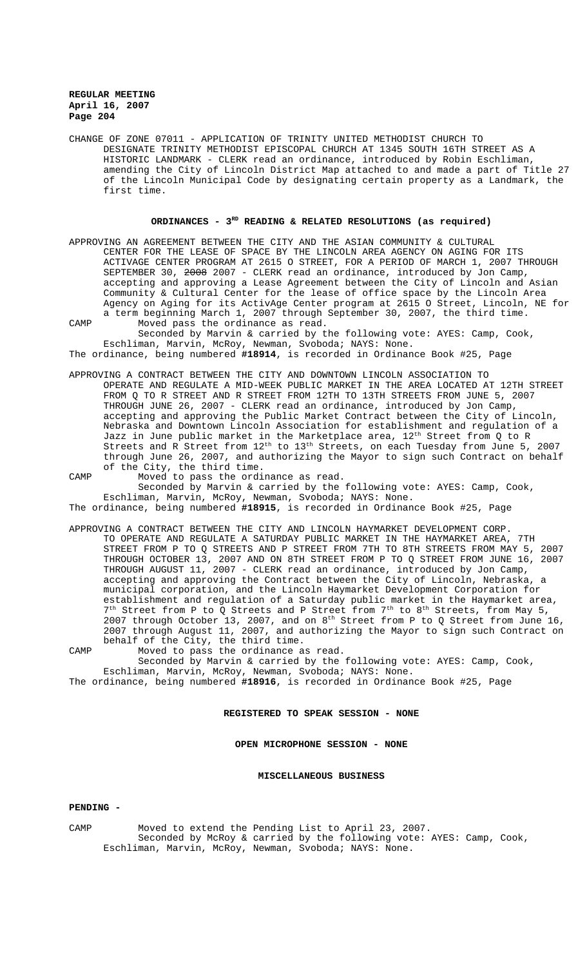CHANGE OF ZONE 07011 - APPLICATION OF TRINITY UNITED METHODIST CHURCH TO DESIGNATE TRINITY METHODIST EPISCOPAL CHURCH AT 1345 SOUTH 16TH STREET AS A HISTORIC LANDMARK - CLERK read an ordinance, introduced by Robin Eschliman, amending the City of Lincoln District Map attached to and made a part of Title 27 of the Lincoln Municipal Code by designating certain property as a Landmark, the first time.

#### **ORDINANCES - 3RD READING & RELATED RESOLUTIONS (as required)**

APPROVING AN AGREEMENT BETWEEN THE CITY AND THE ASIAN COMMUNITY & CULTURAL CENTER FOR THE LEASE OF SPACE BY THE LINCOLN AREA AGENCY ON AGING FOR ITS ACTIVAGE CENTER PROGRAM AT 2615 O STREET, FOR A PERIOD OF MARCH 1, 2007 THROUGH SEPTEMBER 30, 2008 2007 - CLERK read an ordinance, introduced by Jon Camp, accepting and approving a Lease Agreement between the City of Lincoln and Asian Community & Cultural Center for the lease of office space by the Lincoln Area Agency on Aging for its ActivAge Center program at 2615 O Street, Lincoln, NE for a term beginning March 1, 2007 through September 30, 2007, the third time. CAMP Moved pass the ordinance as read.

Seconded by Marvin & carried by the following vote: AYES: Camp, Cook, Eschliman, Marvin, McRoy, Newman, Svoboda; NAYS: None.

The ordinance, being numbered **#18914**, is recorded in Ordinance Book #25, Page

- APPROVING A CONTRACT BETWEEN THE CITY AND DOWNTOWN LINCOLN ASSOCIATION TO OPERATE AND REGULATE A MID-WEEK PUBLIC MARKET IN THE AREA LOCATED AT 12TH STREET FROM Q TO R STREET AND R STREET FROM 12TH TO 13TH STREETS FROM JUNE 5, 2007 THROUGH JUNE 26, 2007 - CLERK read an ordinance, introduced by Jon Camp, accepting and approving the Public Market Contract between the City of Lincoln, Nebraska and Downtown Lincoln Association for establishment and regulation of a Jazz in June public market in the Marketplace area,  $12^{\rm th}$  Street from Q to R Streets and R Street from  $12^{\text{th}}$  to  $13^{\text{th}}$  Streets, on each Tuesday from June 5, 2007 through June 26, 2007, and authorizing the Mayor to sign such Contract on behalf of the City, the third time.
- CAMP Moved to pass the ordinance as read. Seconded by Marvin & carried by the following vote: AYES: Camp, Cook, Eschliman, Marvin, McRoy, Newman, Svoboda; NAYS: None.

The ordinance, being numbered **#18915**, is recorded in Ordinance Book #25, Page

APPROVING A CONTRACT BETWEEN THE CITY AND LINCOLN HAYMARKET DEVELOPMENT CORP. TO OPERATE AND REGULATE A SATURDAY PUBLIC MARKET IN THE HAYMARKET AREA, 7TH STREET FROM P TO Q STREETS AND P STREET FROM 7TH TO 8TH STREETS FROM MAY 5, 2007 THROUGH OCTOBER 13, 2007 AND ON 8TH STREET FROM P TO Q STREET FROM JUNE 16, 2007 THROUGH AUGUST 11, 2007 - CLERK read an ordinance, introduced by Jon Camp, accepting and approving the Contract between the City of Lincoln, Nebraska, a municipal corporation, and the Lincoln Haymarket Development Corporation for establishment and regulation of a Saturday public market in the Haymarket area,  $7<sup>th</sup>$  Street from P to Q Streets and P Street from  $7<sup>th</sup>$  to  $8<sup>th</sup>$  Streets, from May 5, 2007 through October 13, 2007, and on  $8<sup>th</sup>$  Street from P to Q Street from June 16, 2007 through August 11, 2007, and authorizing the Mayor to sign such Contract on behalf of the City, the third time.

CAMP Moved to pass the ordinance as read. Seconded by Marvin & carried by the following vote: AYES: Camp, Cook,

Eschliman, Marvin, McRoy, Newman, Svoboda; NAYS: None. The ordinance, being numbered **#18916**, is recorded in Ordinance Book #25, Page

#### **REGISTERED TO SPEAK SESSION - NONE**

**OPEN MICROPHONE SESSION - NONE**

## **MISCELLANEOUS BUSINESS**

#### **PENDING -**

CAMP Moved to extend the Pending List to April 23, 2007. Seconded by McRoy & carried by the following vote: AYES: Camp, Cook, Eschliman, Marvin, McRoy, Newman, Svoboda; NAYS: None.